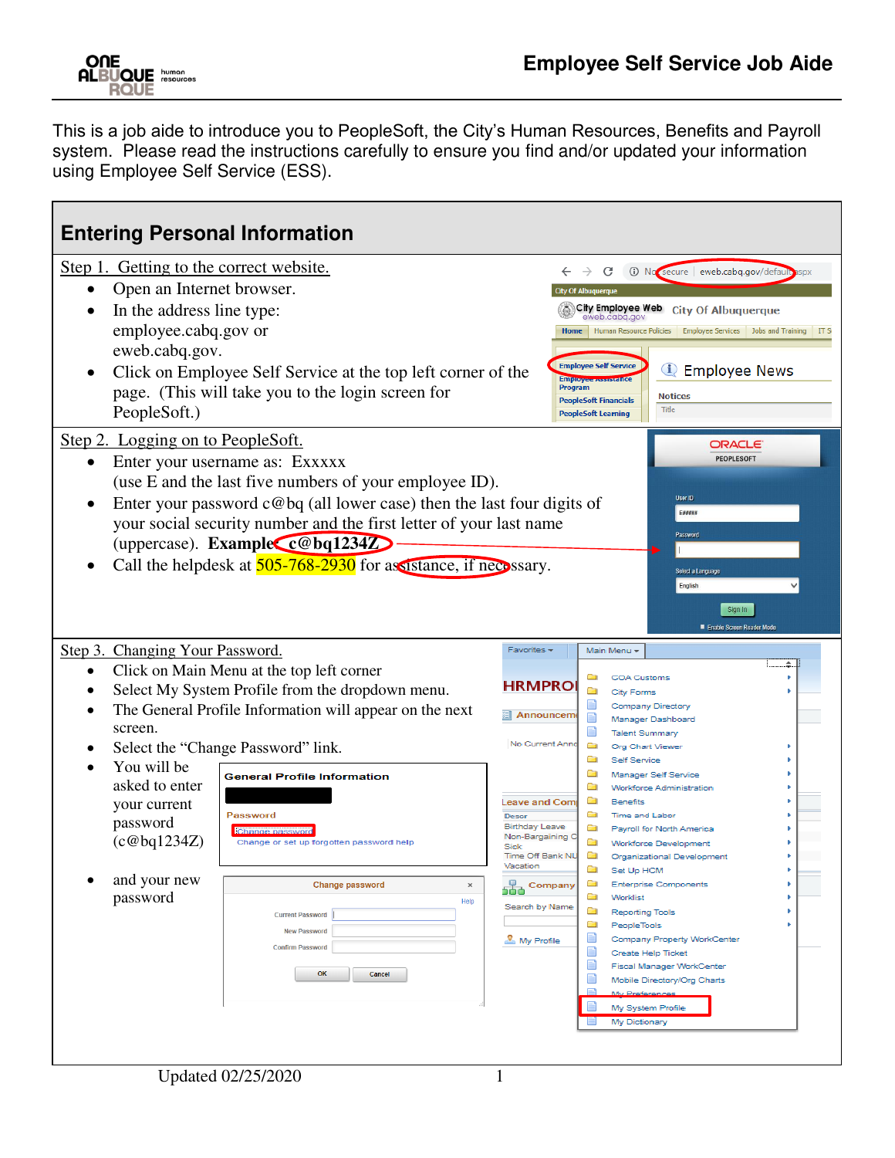**ONE<br>ALBUQUE NOTENTIALS**<br>ROUE

This is a job aide to introduce you to PeopleSoft, the City's Human Resources, Benefits and Payroll system. Please read the instructions carefully to ensure you find and/or updated your information using Employee Self Service (ESS).

| <b>Entering Personal Information</b>                                                                                                                                                                                                                                                                                                                                                                                                                                                                                                                                                                                                                                      |                                                                            |                                                                                                                                                                                   |                                                                                                                                                                                                                                                                                                                                                                                                                                                                                                                                                                                                                                                                                                                 |
|---------------------------------------------------------------------------------------------------------------------------------------------------------------------------------------------------------------------------------------------------------------------------------------------------------------------------------------------------------------------------------------------------------------------------------------------------------------------------------------------------------------------------------------------------------------------------------------------------------------------------------------------------------------------------|----------------------------------------------------------------------------|-----------------------------------------------------------------------------------------------------------------------------------------------------------------------------------|-----------------------------------------------------------------------------------------------------------------------------------------------------------------------------------------------------------------------------------------------------------------------------------------------------------------------------------------------------------------------------------------------------------------------------------------------------------------------------------------------------------------------------------------------------------------------------------------------------------------------------------------------------------------------------------------------------------------|
| Step 1. Getting to the correct website.<br>Open an Internet browser.<br>In the address line type:<br>employee.cabq.gov or<br>eweb.cabq.gov.<br>Click on Employee Self Service at the top left corner of the<br>page. (This will take you to the login screen for<br>PeopleSoft.)<br>Step 2. Logging on to PeopleSoft.<br>Enter your username as: Exxxxx<br>(use E and the last five numbers of your employee ID).<br>Enter your password $c@$ bq (all lower case) then the last four digits of<br>your social security number and the first letter of your last name<br>(uppercase). Example c@bq1234Z<br>Call the helpdesk at 505-768-2930 for assistance, if necessary. |                                                                            | Home<br><b>Emproyee</b><br>Program                                                                                                                                                | 10 No secure eweb.cabq.gov/default spx<br>C<br>Of Albuguerg<br>City Employee Web City Of Albuquerque<br>eweb.cabq.gov<br>Human Resource Policies   Employee Services   Jobs and Training<br><b>Employee Self Service</b><br><b>1</b> Employee News<br><b>Notices</b><br><b>PeopleSoft Financials</b><br>Title<br><b>PeopleSoft Learning</b><br>ORACLE<br><b>PEOPLESOFT</b><br>User ID<br>E####<br>Password<br>Select a Language<br>English<br>Sign In<br>Enable Screen Reader Mode                                                                                                                                                                                                                              |
| Step 3. Changing Your Password.<br>Click on Main Menu at the top left corner<br>Select My System Profile from the dropdown menu.<br>The General Profile Information will appear on the next<br>screen.<br>Select the "Change Password" link.<br>You will be<br><b>General Profile Information</b><br>asked to enter<br>your current<br>Password<br>password<br>Change password<br>(c@bq1234Z)<br>Change or set up forgotten password help<br>and your new<br><b>Change password</b><br>password<br>Current Password<br><b>New Password</b><br><b>Confirm Password</b><br>OK<br>Cancel                                                                                     | Favorites -<br><b>Descr</b><br>Sick<br>Vacation<br>$\times$<br>566<br>Help | <b>HRMPRO</b><br>Announcem<br>No Current Anno<br><b>Leave and Com</b><br><b>Birthday Leave</b><br>Non-Bargaining C<br>Time Off Bank NU<br>Company<br>Search by Name<br>My Profile | Main Menu -<br>.≑…‼<br><b>COA Customs</b><br>▭<br>City Forms<br>Company Directory<br>EI<br>Manager Dashboard<br>E<br><b>Talent Summary</b><br>▭<br>Org Chart Viewer<br>▭<br><b>Self Service</b><br>Manager Self Service<br><b>Workforce Administration</b><br><b>Benefits</b><br>Time and Labor<br>Payroll for North America<br>▭<br>Workforce Development<br>Organizational Development<br>Set Up HCM<br><b>Enterprise Components</b><br><b>CONTRACT</b><br>▭<br>Worklist<br>a<br><b>Reporting Tools</b><br>▭<br>PeopleTools<br>E<br>Company Property WorkCenter<br>E<br>Create Help Ticket<br>E<br><b>Fiscal Manager WorkCenter</b><br>E<br>Mobile Directory/Org Charts<br>My System Profile<br>My Dictionary |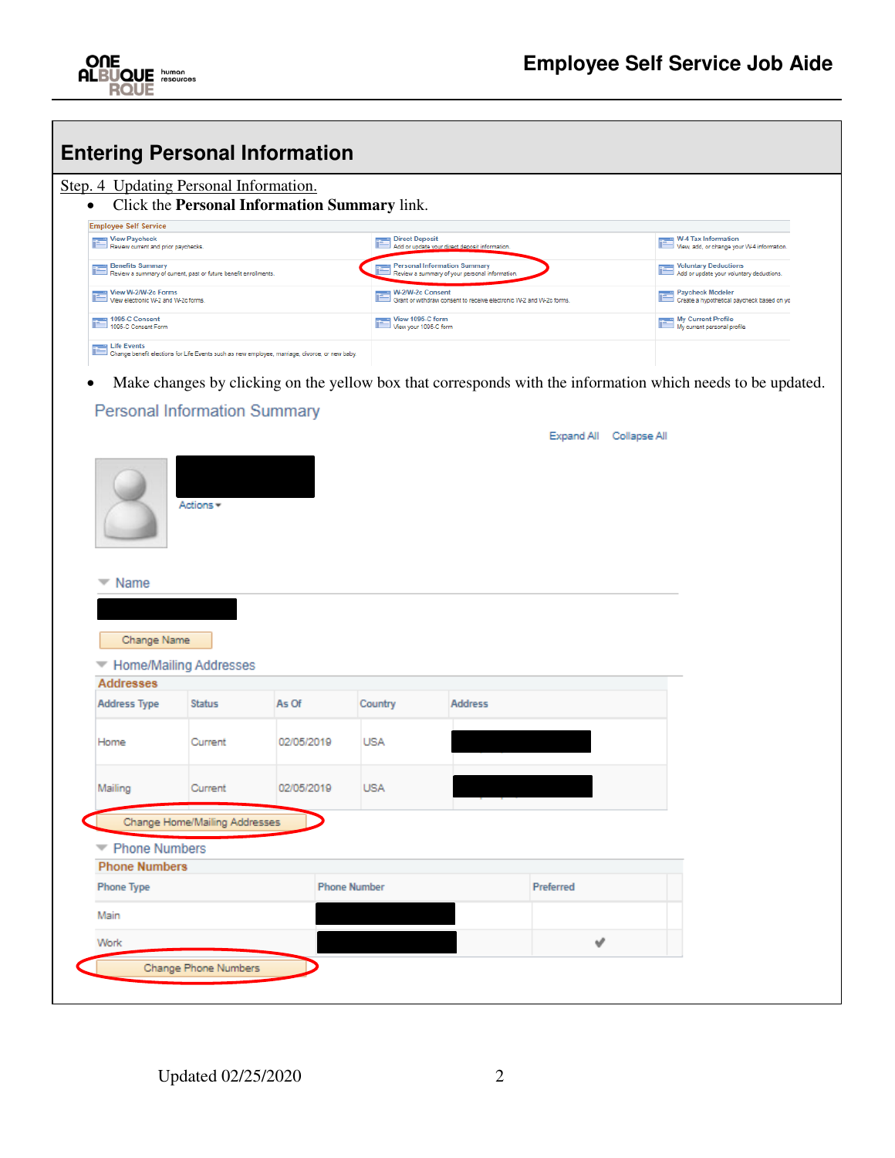|                                                                                                  | Step. 4 Updating Personal Information.                           |                                                                                                               |                                           |                                                                                      |                            |                                                                                                             |
|--------------------------------------------------------------------------------------------------|------------------------------------------------------------------|---------------------------------------------------------------------------------------------------------------|-------------------------------------------|--------------------------------------------------------------------------------------|----------------------------|-------------------------------------------------------------------------------------------------------------|
|                                                                                                  |                                                                  | Click the Personal Information Summary link.                                                                  |                                           |                                                                                      |                            |                                                                                                             |
| <b>Employee Self Service</b><br><b>View Paycheck</b><br>E<br>Review current and prior paychecks. |                                                                  |                                                                                                               | <b>Direct Deposit</b>                     | Add or update your direct deposit information                                        |                            | <b>W-4 Tax Information</b><br>View, add, or change your W-4 information.                                    |
| <b>Benefits Summary</b>                                                                          | Review a summary of current, past or future benefit enrollments. |                                                                                                               |                                           | <b>Personal Information Summary</b><br>Review a summary of your personal information |                            | <b>Voluntary Deductions</b><br>Add or update your voluntary deductions.                                     |
| W-2/W-2c Forms<br>F<br>View electronic W-2 and W-2c forms.                                       |                                                                  |                                                                                                               | W-2/W-2c Consent                          | Grant or withdraw consent to receive electronic W-2 and W-2c forms                   |                            | Paycheck Modeler<br>Create a hypothetical paycheck based on yo                                              |
| 1095-C Consent<br>F<br>1095-C Consent Form                                                       |                                                                  |                                                                                                               | View 1095-C form<br>View your 1095-C form |                                                                                      |                            | My Current Profile<br>My current personal profile                                                           |
| <b>E</b> Life Events                                                                             |                                                                  | Life Events<br>Change benefit elections for Life Events such as new employee, marriage, divorce, or new baby. |                                           |                                                                                      |                            |                                                                                                             |
|                                                                                                  |                                                                  |                                                                                                               |                                           |                                                                                      |                            | Make changes by clicking on the yellow box that corresponds with the information which needs to be updated. |
|                                                                                                  |                                                                  |                                                                                                               |                                           |                                                                                      |                            |                                                                                                             |
|                                                                                                  | <b>Personal Information Summary</b>                              |                                                                                                               |                                           |                                                                                      |                            |                                                                                                             |
|                                                                                                  |                                                                  |                                                                                                               |                                           |                                                                                      | Expand All<br>Collapse All |                                                                                                             |
|                                                                                                  |                                                                  |                                                                                                               |                                           |                                                                                      |                            |                                                                                                             |
|                                                                                                  |                                                                  |                                                                                                               |                                           |                                                                                      |                            |                                                                                                             |
|                                                                                                  |                                                                  |                                                                                                               |                                           |                                                                                      |                            |                                                                                                             |
|                                                                                                  |                                                                  |                                                                                                               |                                           |                                                                                      |                            |                                                                                                             |
|                                                                                                  |                                                                  |                                                                                                               |                                           |                                                                                      |                            |                                                                                                             |
|                                                                                                  |                                                                  |                                                                                                               |                                           |                                                                                      |                            |                                                                                                             |
|                                                                                                  | Actions *                                                        |                                                                                                               |                                           |                                                                                      |                            |                                                                                                             |
|                                                                                                  |                                                                  |                                                                                                               |                                           |                                                                                      |                            |                                                                                                             |
|                                                                                                  |                                                                  |                                                                                                               |                                           |                                                                                      |                            |                                                                                                             |
|                                                                                                  |                                                                  |                                                                                                               |                                           |                                                                                      |                            |                                                                                                             |
|                                                                                                  |                                                                  |                                                                                                               |                                           |                                                                                      |                            |                                                                                                             |
|                                                                                                  |                                                                  |                                                                                                               |                                           |                                                                                      |                            |                                                                                                             |
| Name                                                                                             |                                                                  |                                                                                                               |                                           |                                                                                      |                            |                                                                                                             |
|                                                                                                  |                                                                  |                                                                                                               |                                           |                                                                                      |                            |                                                                                                             |
|                                                                                                  |                                                                  |                                                                                                               |                                           |                                                                                      |                            |                                                                                                             |
|                                                                                                  |                                                                  |                                                                                                               |                                           |                                                                                      |                            |                                                                                                             |
| Change Name                                                                                      |                                                                  |                                                                                                               |                                           |                                                                                      |                            |                                                                                                             |
|                                                                                                  |                                                                  |                                                                                                               |                                           |                                                                                      |                            |                                                                                                             |
|                                                                                                  | Home/Mailing Addresses                                           |                                                                                                               |                                           |                                                                                      |                            |                                                                                                             |
| <b>Addresses</b>                                                                                 |                                                                  |                                                                                                               |                                           |                                                                                      |                            |                                                                                                             |
|                                                                                                  |                                                                  |                                                                                                               |                                           |                                                                                      |                            |                                                                                                             |
| Address Type                                                                                     | Status                                                           | As Of                                                                                                         | Country                                   | Address                                                                              |                            |                                                                                                             |
|                                                                                                  |                                                                  |                                                                                                               |                                           |                                                                                      |                            |                                                                                                             |
|                                                                                                  |                                                                  |                                                                                                               |                                           |                                                                                      |                            |                                                                                                             |
| Home                                                                                             | Current                                                          | 02/05/2019                                                                                                    | <b>USA</b>                                |                                                                                      |                            |                                                                                                             |
|                                                                                                  |                                                                  |                                                                                                               |                                           |                                                                                      |                            |                                                                                                             |
|                                                                                                  |                                                                  |                                                                                                               |                                           |                                                                                      |                            |                                                                                                             |
|                                                                                                  | Current                                                          | 02/05/2019                                                                                                    | <b>USA</b>                                |                                                                                      |                            |                                                                                                             |
| Mailing                                                                                          |                                                                  |                                                                                                               |                                           |                                                                                      |                            |                                                                                                             |
|                                                                                                  |                                                                  |                                                                                                               |                                           |                                                                                      |                            |                                                                                                             |
|                                                                                                  | Change Home/Mailing Addresses                                    |                                                                                                               |                                           |                                                                                      |                            |                                                                                                             |
|                                                                                                  |                                                                  |                                                                                                               |                                           |                                                                                      |                            |                                                                                                             |
| Phone Numbers                                                                                    |                                                                  |                                                                                                               |                                           |                                                                                      |                            |                                                                                                             |
| <b>Phone Numbers</b>                                                                             |                                                                  |                                                                                                               |                                           |                                                                                      |                            |                                                                                                             |

Change Phone Numbers

Work

 $\checkmark$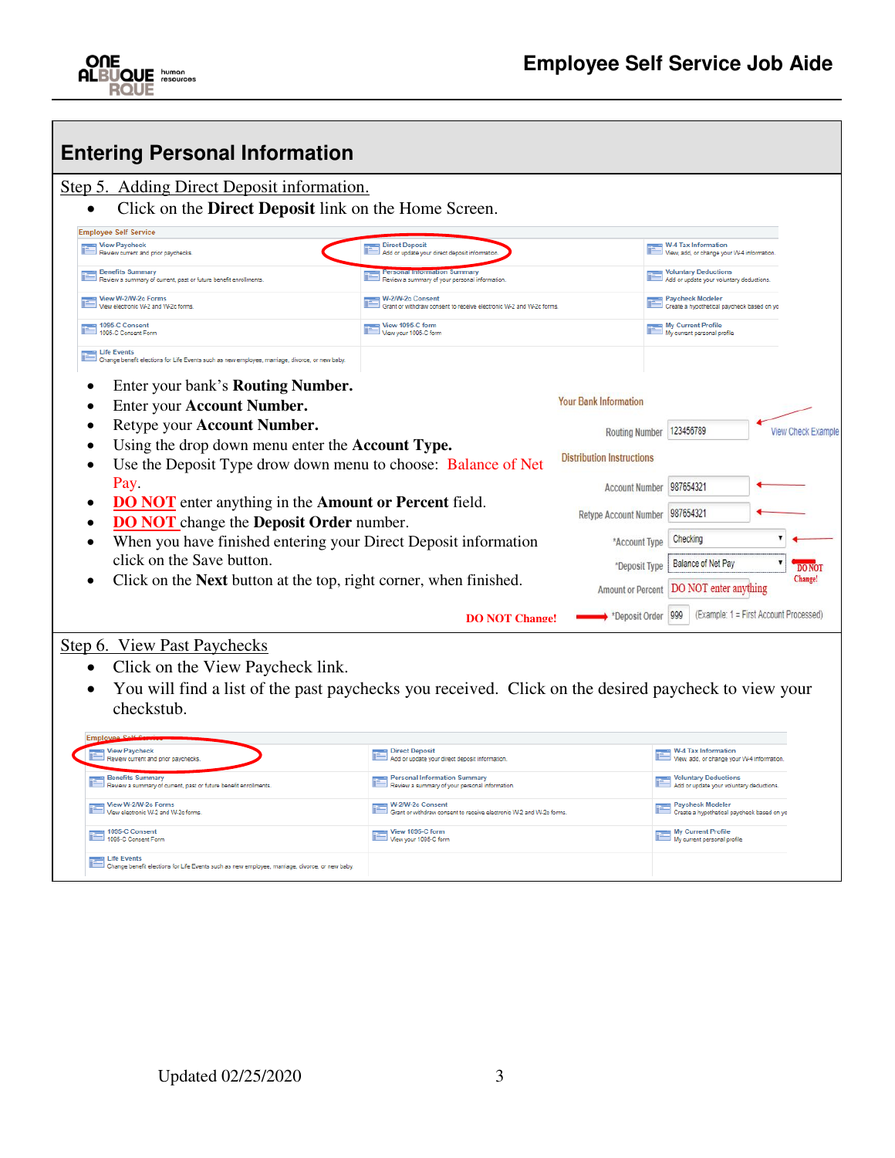

| <b>Entering Personal Information</b>                                                                                                                                                                        |                                                                                         |                                  |                                                                         |                           |
|-------------------------------------------------------------------------------------------------------------------------------------------------------------------------------------------------------------|-----------------------------------------------------------------------------------------|----------------------------------|-------------------------------------------------------------------------|---------------------------|
| Step 5. Adding Direct Deposit information.                                                                                                                                                                  |                                                                                         |                                  |                                                                         |                           |
| Click on the <b>Direct Deposit</b> link on the Home Screen.                                                                                                                                                 |                                                                                         |                                  |                                                                         |                           |
| <b>Employee Self Service</b>                                                                                                                                                                                |                                                                                         |                                  |                                                                         |                           |
| <b>View Paycheck</b><br>Review current and prior paychecks.                                                                                                                                                 | <b>Direct Deposit</b><br>Add or update your direct deposit informatio                   |                                  | <b>W-4 Tax Information</b><br>View, add, or change your W-4 information |                           |
| <b>Benefits Summary</b><br>Review a summary of current, past or future benefit enrollments                                                                                                                  | <b>Information Summary</b><br>Review a summary of your personal information             |                                  | <b>Voluntary Deductions</b><br>Add or update your voluntary deductions  |                           |
| View W-2/W-2c Forms<br>View electronic W-2 and W-2c forms.                                                                                                                                                  | W-2/W-2c Consent<br>Grant or withdraw consent to receive electronic W-2 and W-2c forms. |                                  | <b>Paycheck Modeler</b><br>Create a hypothetical paycheck based on yo   |                           |
| 1095-C Consent<br>1095-C Consent Form                                                                                                                                                                       | View 1095-C form<br>View your 1095-C form                                               |                                  | My Current Profile<br>Wy current personal profile                       |                           |
| <b>Life Events</b><br>Change benefit elections for Life Events such as new employee, marriage, divorce, or new baby.<br>Enter your bank's <b>Routing Number.</b><br>$\bullet$<br>Enter your Account Number. |                                                                                         | <b>Your Bank Information</b>     |                                                                         |                           |
| Retype your Account Number.<br>$\bullet$                                                                                                                                                                    |                                                                                         | <b>Routing Number</b>            | 123456789                                                               | <b>View Check Example</b> |
| Using the drop down menu enter the <b>Account Type.</b>                                                                                                                                                     |                                                                                         | <b>Distribution Instructions</b> |                                                                         |                           |
| Use the Deposit Type drow down menu to choose: Balance of Net<br>$\bullet$                                                                                                                                  |                                                                                         |                                  |                                                                         |                           |
| Pay.                                                                                                                                                                                                        |                                                                                         | <b>Account Number</b>            | 987654321                                                               |                           |
| <b>DO NOT</b> enter anything in the <b>Amount or Percent</b> field.<br>$\bullet$<br><b>DO NOT</b> change the <b>Deposit Order</b> number.                                                                   |                                                                                         | <b>Retype Account Number</b>     | 987654321                                                               |                           |
| When you have finished entering your Direct Deposit information                                                                                                                                             |                                                                                         | *Account Type                    | Checking                                                                |                           |
| click on the Save button.                                                                                                                                                                                   |                                                                                         | *Deposit Type                    | <b>Balance of Net Pay</b>                                               |                           |
| Click on the Next button at the top, right corner, when finished.<br>$\bullet$                                                                                                                              |                                                                                         | <b>Amount or Percent</b>         | DO NOT enter anything                                                   | Change!                   |
|                                                                                                                                                                                                             | <b>DO NOT Change!</b>                                                                   | *Deposit Order                   | (Example: 1 = First Account Processed)<br>999                           |                           |
| <b>Step 6. View Past Paychecks</b>                                                                                                                                                                          |                                                                                         |                                  |                                                                         |                           |
| Click on the View Paycheck link.<br>$\bullet$                                                                                                                                                               |                                                                                         |                                  |                                                                         |                           |
| You will find a list of the past paychecks you received. Click on the desired paycheck to view your                                                                                                         |                                                                                         |                                  |                                                                         |                           |
| checkstub.                                                                                                                                                                                                  |                                                                                         |                                  |                                                                         |                           |

| View Paycheck<br>Review current and prior paychecks.                                                          | Direct Deposit<br>Add or update your direct deposit information.                        | W-4 Tax Information<br>View, add, or change your W-4 information. |
|---------------------------------------------------------------------------------------------------------------|-----------------------------------------------------------------------------------------|-------------------------------------------------------------------|
| <b>Benefits Summary</b><br>Review a summary of current, past or future benefit enrollments.                   | Personal Information Summary<br>Review a summary of your personal information.          | Voluntary Deductions<br>Add or update your voluntary deductions.  |
| $\begin{array}{ c c }\n\hline\n\end{array}$ View W-2/W-2c Forms<br>View electronic W-2 and W-2c forms.        | W-2/W-2c Consent<br>Grant or withdraw consent to receive electronic W-2 and W-2c forms. | Paycheck Modeler<br>Create a hypothetical paycheck based on yo    |
| 1095-C Consent<br>1095-C Consent Form                                                                         | View 1095-C form<br>View your 1095-C form                                               | My Current Profile<br>My current personal profile                 |
| Life Events<br>Change benefit elections for Life Events such as new employee, marriage, divorce, or new baby. |                                                                                         |                                                                   |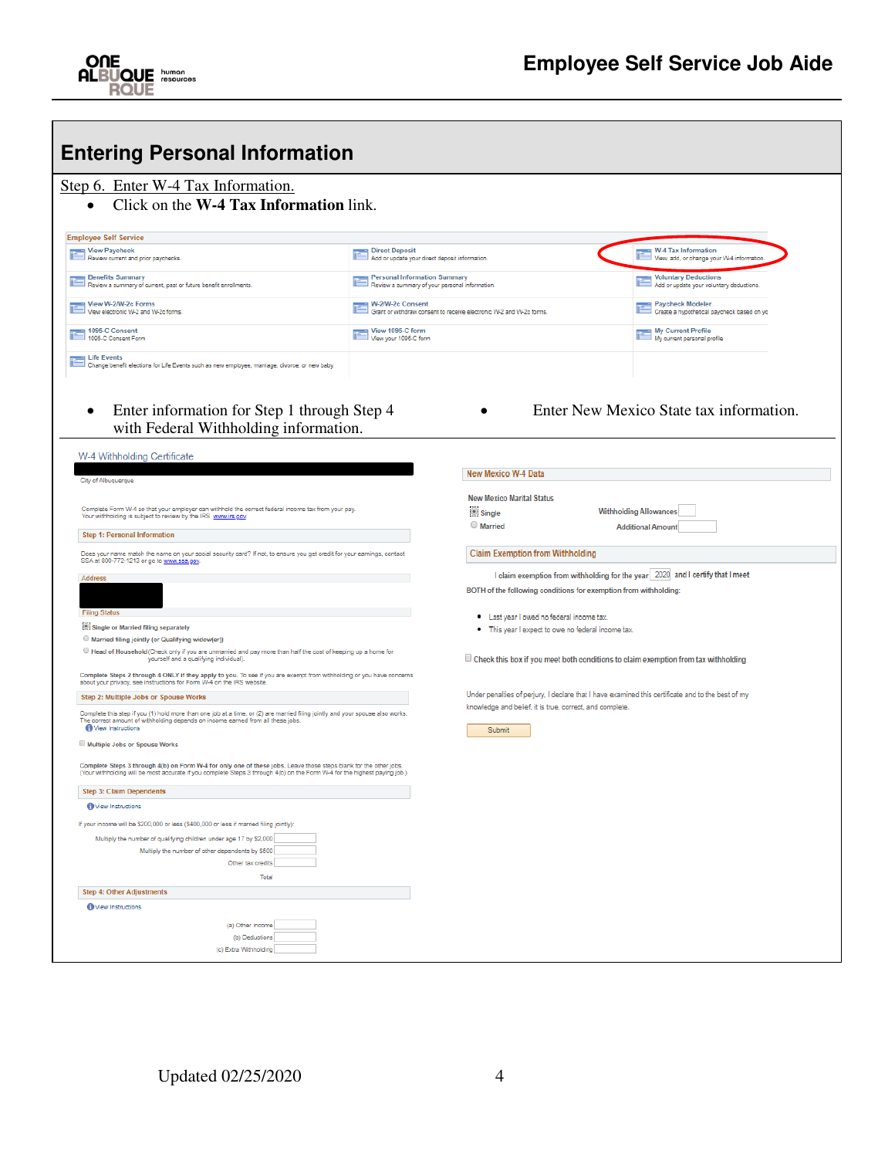| <b>Entering Personal Information</b>                                                                                                                                                                           |                                                                         |                                                                                               |                                                                                                   |
|----------------------------------------------------------------------------------------------------------------------------------------------------------------------------------------------------------------|-------------------------------------------------------------------------|-----------------------------------------------------------------------------------------------|---------------------------------------------------------------------------------------------------|
| Step 6. Enter W-4 Tax Information.                                                                                                                                                                             |                                                                         |                                                                                               |                                                                                                   |
| Click on the W-4 Tax Information link.                                                                                                                                                                         |                                                                         |                                                                                               |                                                                                                   |
| <b>Employee Self Service</b>                                                                                                                                                                                   |                                                                         |                                                                                               |                                                                                                   |
| <b>View Paycheck</b><br>Review current and prior paychecks.                                                                                                                                                    | <b>Direct Deposit</b><br>Add or update your direct deposit information. |                                                                                               | W-4 Tax Information<br>View, add, or change your W-4 information.                                 |
| <b>Benefits Summary</b>                                                                                                                                                                                        | <b>Personal Information Summary</b>                                     |                                                                                               | <b>Voluntary Deductions</b>                                                                       |
| Review a summary of current, past or future benefit enrollments.<br>View W-2/W-2c Forms                                                                                                                        | Review a summary of your personal information.<br>W-2/W-2c Consent      |                                                                                               | Add or update your voluntary deductions.<br><b>Paycheck Modeler</b>                               |
| View electronic W-2 and W-2c forms.                                                                                                                                                                            |                                                                         | Grant or withdraw consent to receive electronic W-2 and W-2c forms.                           | Create a hypothetical paycheck based on yo                                                        |
| 1095-C Consent<br>1095-C Consent Form                                                                                                                                                                          | View 1095-C form<br>View your 1095-C form                               |                                                                                               | My Current Profile<br>My current personal profile                                                 |
| <b>Life Events</b><br>D Change benefit elections for Life Events such as new employee, marriage, divorce, or new baby.                                                                                         |                                                                         |                                                                                               |                                                                                                   |
| Enter information for Step 1 through Step 4<br>with Federal Withholding information.<br>W-4 Withholding Certificate                                                                                            |                                                                         |                                                                                               | Enter New Mexico State tax information.                                                           |
| City of Albuquerque                                                                                                                                                                                            |                                                                         | New Mexico W-4 Data                                                                           |                                                                                                   |
|                                                                                                                                                                                                                |                                                                         | <b>New Mexico Marital Status</b>                                                              |                                                                                                   |
| Complete Form W-4 so that your employer can withhold the correct federal income tax from your pay.<br>Your withholding is subject to review by the IRS www.irs.gov.                                            |                                                                         | Single                                                                                        | <b>Withholding Allowances</b>                                                                     |
| Step 1: Personal Information                                                                                                                                                                                   |                                                                         | Married                                                                                       | <b>Additional Amount</b>                                                                          |
| Does your name match the name on your social security card? If not, to ensure you get credit for your earnings, contact<br>SSA at 800-772-1213 or go to www.ssa.gov.                                           |                                                                         | <b>Claim Exemption from Withholding</b>                                                       |                                                                                                   |
| Address                                                                                                                                                                                                        |                                                                         |                                                                                               | I claim exemption from withholding for the year   2020 and I certify that I meet                  |
|                                                                                                                                                                                                                |                                                                         |                                                                                               | BOTH of the following conditions for exemption from withholding:                                  |
| <b>Filing Status</b><br>Single or Married filing separately                                                                                                                                                    |                                                                         | Last year I owed no federal income tax.<br>• This year I expect to owe no federal income tax. |                                                                                                   |
| Married filing jointly (or Qualifying widow(er))<br>Head of Household (Check only if you are unmarried and pay more than half the cost of keeping up a home for                                                |                                                                         |                                                                                               |                                                                                                   |
| yourself and a qualifying individual).                                                                                                                                                                         |                                                                         |                                                                                               | $\Box$ Check this box if you meet both conditions to claim exemption from tax withholding         |
| Complete Steps 2 through 4 ONLY if they apply to you. To see if you are exempt from withholding or you have concerns<br>about your privacy, see instructions for Form W-4 on the IRS website                   |                                                                         |                                                                                               |                                                                                                   |
| Step 2: Multiple Jobs or Spouse Works<br>Complete this step if you (1) hold more than one job at a time, or (2) are married filing jointly and your spouse also works.                                         |                                                                         | knowledge and belief, it is true, correct, and complete.                                      | Under penalties of perjury, I declare that I have examined this certificate and to the best of my |
| The correct amount of withholding depends on income earned from all these jobs.<br><b>N</b> View Instructions                                                                                                  |                                                                         | <b>Submit</b>                                                                                 |                                                                                                   |
| Multiple Jobs or Spouse Works                                                                                                                                                                                  |                                                                         |                                                                                               |                                                                                                   |
| Complete Steps 3 through 4(b) on Form W-4 for only one of these jobs. Leave those steps blank for the other jobs.<br>scruitate if you complete Steps 3 through 4(b) on the Form W-4 for the highest paying job |                                                                         |                                                                                               |                                                                                                   |
| Step 3: Claim Dependents                                                                                                                                                                                       |                                                                         |                                                                                               |                                                                                                   |
| <b>New Instructions</b>                                                                                                                                                                                        |                                                                         |                                                                                               |                                                                                                   |
| If your income will be \$200,000 or less (\$400,000 or less if married filing jointly):                                                                                                                        |                                                                         |                                                                                               |                                                                                                   |
| Multiply the number of qualifying children under age 17 by \$2,000<br>Multiply the number of other dependents by \$500                                                                                         |                                                                         |                                                                                               |                                                                                                   |
| Other tax credits                                                                                                                                                                                              |                                                                         |                                                                                               |                                                                                                   |
| Total                                                                                                                                                                                                          |                                                                         |                                                                                               |                                                                                                   |
| <b>Step 4: Other Adjustments</b><br><b>New Instructions</b>                                                                                                                                                    |                                                                         |                                                                                               |                                                                                                   |
| (a) Other Income                                                                                                                                                                                               |                                                                         |                                                                                               |                                                                                                   |
| (b) Deductions                                                                                                                                                                                                 |                                                                         |                                                                                               |                                                                                                   |
| (c) Extra Withholding                                                                                                                                                                                          |                                                                         |                                                                                               |                                                                                                   |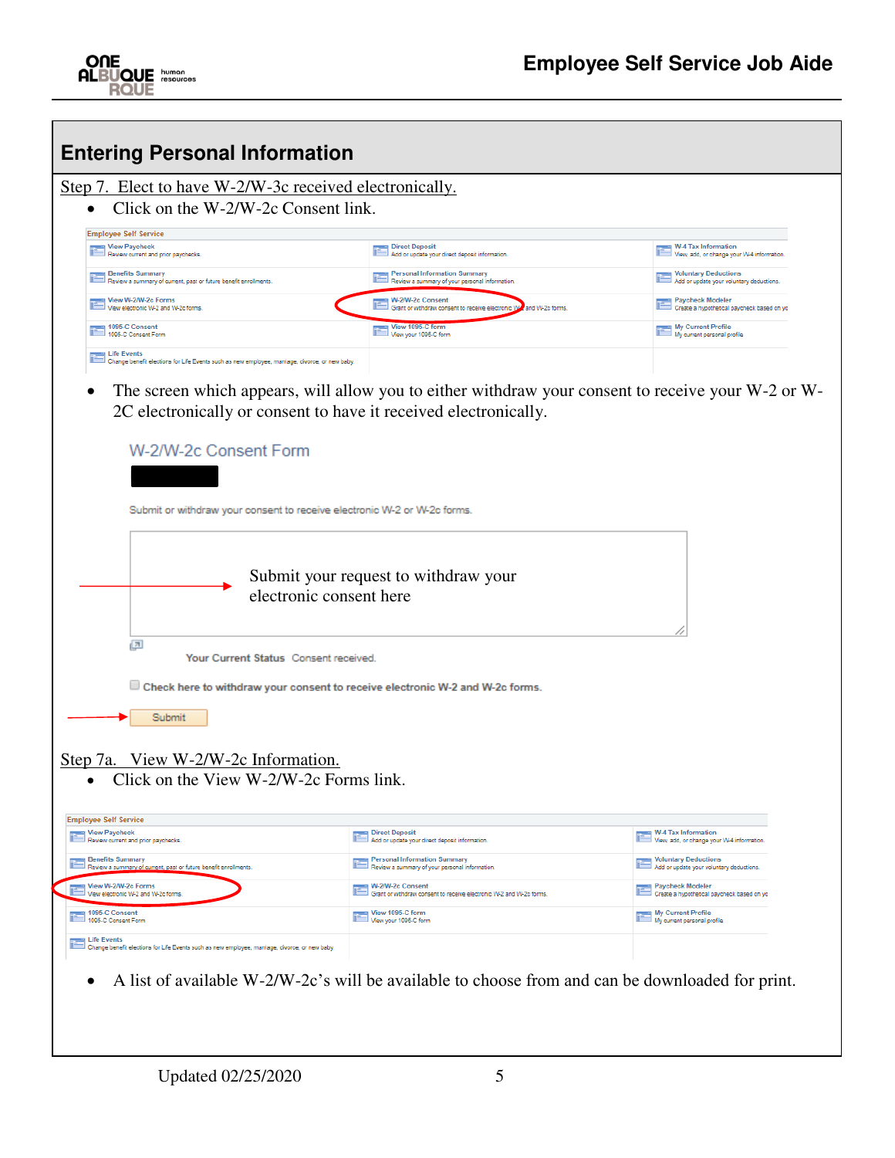

| <b>Entering Personal Information</b>                                                                            |                                                                                                                                             |                                                                                        |
|-----------------------------------------------------------------------------------------------------------------|---------------------------------------------------------------------------------------------------------------------------------------------|----------------------------------------------------------------------------------------|
| Step 7. Elect to have W-2/W-3c received electronically.                                                         |                                                                                                                                             |                                                                                        |
| Click on the W-2/W-2c Consent link.                                                                             |                                                                                                                                             |                                                                                        |
| <b>Employee Self Service</b>                                                                                    |                                                                                                                                             | $\equiv$ W-4 Tax Information                                                           |
| View Paycheck<br>Review current and prior paychecks.                                                            | <b>Direct Deposit</b><br>Add or update your direct deposit information                                                                      | View, add, or change your W-4 information                                              |
| <b>Benefits Summary</b><br>Review a summary of current, past or future benefit enrollments.                     | <b>Personal Information Summary</b><br>Review a summary of your personal information                                                        | <b>Voluntary Deductions</b><br>Add or update your voluntary deductions.                |
| View W-2/W-2c Forms<br>View electronic W-2 and W-2c forms                                                       | W-2/W-2c Consent<br>Grant or withdraw consent to receive electronic W<br>and W-2c forms.                                                    | <b>Paycheck Modeler</b><br>Create a hypothetical paycheck based on yo                  |
| 1095-C Consent<br>1095-C Consent Form                                                                           | View 1095-C form<br>View your 1095-C form                                                                                                   | <b>Ny Current Profile</b><br>My current personal profile                               |
| <b>Exents</b><br>Change benefit elections for Life Events such as new employee, marriage, divorce, or new baby. |                                                                                                                                             |                                                                                        |
|                                                                                                                 | Submit or withdraw your consent to receive electronic W-2 or W-2c forms.<br>Submit your request to withdraw your<br>electronic consent here |                                                                                        |
| $\sqrt{\pi}$<br>Your Current Status Consent received.                                                           |                                                                                                                                             |                                                                                        |
|                                                                                                                 | Check here to withdraw your consent to receive electronic W-2 and W-2c forms.                                                               |                                                                                        |
| Submit                                                                                                          |                                                                                                                                             |                                                                                        |
| Step 7a. View W-2/W-2c Information.<br>Click on the View W-2/W-2c Forms link.                                   |                                                                                                                                             |                                                                                        |
| <b>Employee Self Service</b><br><b>View Paycheck</b><br>Review current and prior paychecks.                     | Direct Deposit<br>Add or update your direct deposit information.                                                                            | <b>W-4 Tax Information</b><br>View, add, or change your W-4 information.               |
| <b>Benefits Summary</b><br>Review a summary of current, past or future benefit enrollments.                     | <b>Personal Information Summary</b><br>$\blacksquare$ Review a summary of your personal information.                                        | <b>Voluntary Deductions</b><br>$\blacksquare$ Add or update your voluntary deductions. |
| View W-2/W-2c Forms<br>$\exists$ View electronic W-2 and W-2c forms.                                            | W-2/W-2c Consent<br>Grant or withdraw consent to receive electronic W-2 and W-2c forms.                                                     | <b>Paycheck Modeler</b>                                                                |
| 1095-C Consent                                                                                                  | ■ View 1095-C form                                                                                                                          | Create a hypothetical paycheck based on yo<br><b>Ny Current Profile</b>                |
| 1095-C Consent Form                                                                                             | View your 1095-C form                                                                                                                       | My current personal profile                                                            |
| life Events<br>Change benefit elections for Life Events such as new employee, marriage, divorce, or new baby.   |                                                                                                                                             |                                                                                        |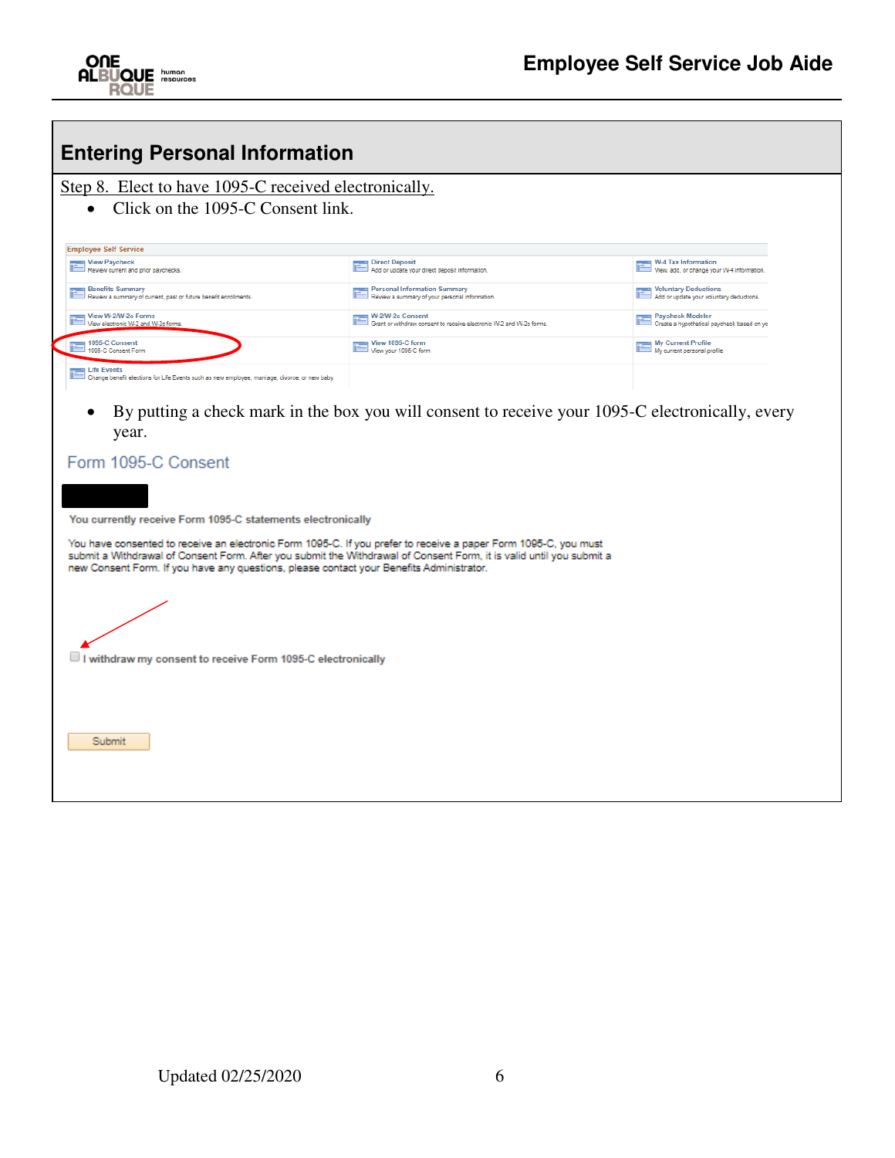

| <b>Entering Personal Information</b>                                                                                                                                                                                                                                                                                                                                                                                                    |                                                                                                  |                                                                         |
|-----------------------------------------------------------------------------------------------------------------------------------------------------------------------------------------------------------------------------------------------------------------------------------------------------------------------------------------------------------------------------------------------------------------------------------------|--------------------------------------------------------------------------------------------------|-------------------------------------------------------------------------|
| Step 8. Elect to have 1095-C received electronically.                                                                                                                                                                                                                                                                                                                                                                                   |                                                                                                  |                                                                         |
| Click on the 1095-C Consent link.<br>$\bullet$                                                                                                                                                                                                                                                                                                                                                                                          |                                                                                                  |                                                                         |
| <b>Employee Self Service</b>                                                                                                                                                                                                                                                                                                                                                                                                            |                                                                                                  |                                                                         |
| <b>New Paycheck</b><br>Review current and prior paychecks.                                                                                                                                                                                                                                                                                                                                                                              | <b>Direct Deposit</b><br>Add or update your direct deposit information.                          | <b>W-4 Tax Information</b><br>View, add, or change your W-4 information |
| <b>Benefits Summary</b><br>Review a summary of current, past or future benefit enrollments.                                                                                                                                                                                                                                                                                                                                             | <b>Personal Information Summary</b><br>Review a summary of your personal information.            | Voluntary Deductions<br>J Add or update your voluntary deductions.      |
| View W-2/W-2c Forms<br>View electronic W-2 and W-2c forms                                                                                                                                                                                                                                                                                                                                                                               | W-2/W-2c Consent<br>Grant or withdraw consent to receive electronic W-2 and W-2c forms.          | Paycheck Modeler<br>Create a hypothetical paycheck based on yo          |
| 91095-C Consent<br>1095-C Consent Form                                                                                                                                                                                                                                                                                                                                                                                                  | View 1095-C form<br>View your 1095-C form                                                        | <b>My Current Profile</b><br>My current personal profile                |
| <b>■ Life Events</b><br>$\Box$ Change benefit elections for Life Events such as new employee, marriage, divorce, or new baby.                                                                                                                                                                                                                                                                                                           |                                                                                                  |                                                                         |
| ٠<br>year.<br>Form 1095-C Consent<br>You currently receive Form 1095-C statements electronically<br>You have consented to receive an electronic Form 1095-C. If you prefer to receive a paper Form 1095-C, you must<br>submit a Withdrawal of Consent Form. After you submit the Withdrawal of Consent Form, it is valid until you submit a<br>new Consent Form. If you have any questions, please contact your Benefits Administrator. | By putting a check mark in the box you will consent to receive your 1095-C electronically, every |                                                                         |
| $\Box$ I withdraw my consent to receive Form 1095-C electronically<br>Submit                                                                                                                                                                                                                                                                                                                                                            |                                                                                                  |                                                                         |
|                                                                                                                                                                                                                                                                                                                                                                                                                                         |                                                                                                  |                                                                         |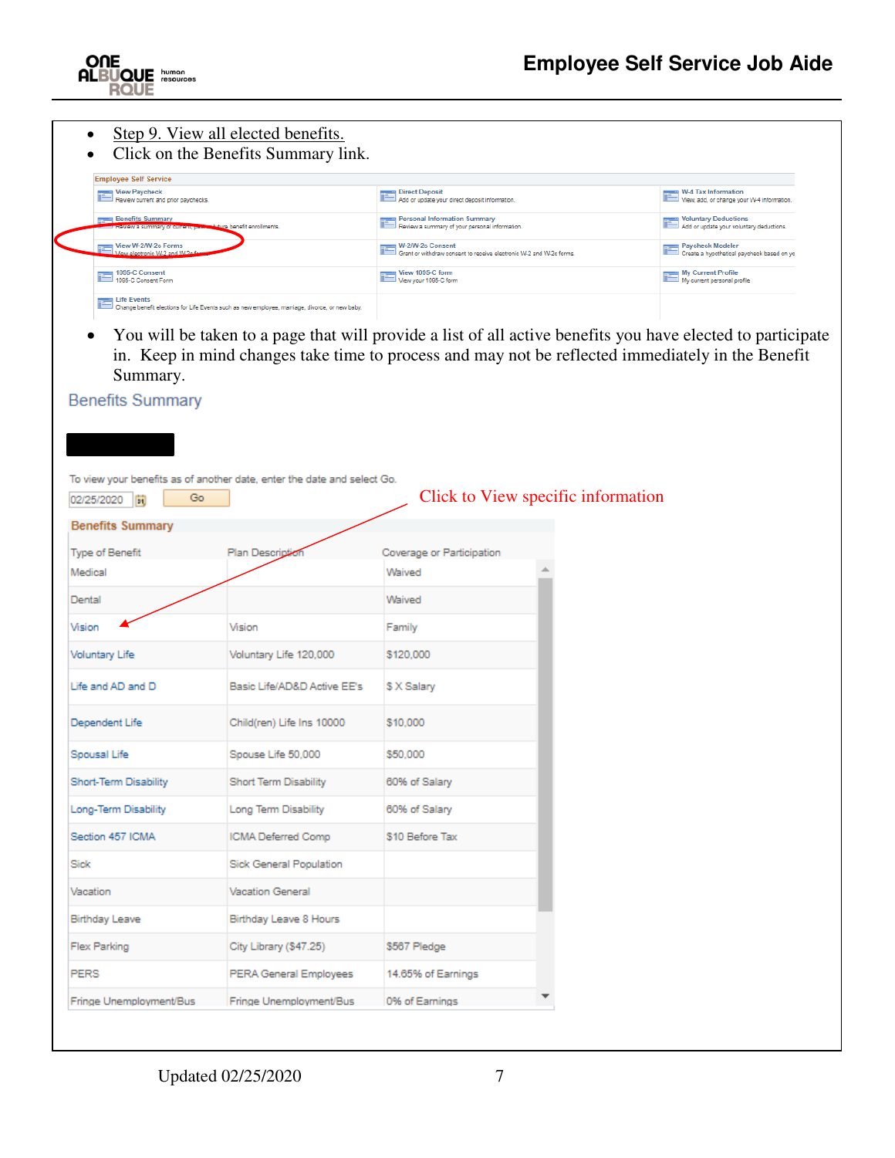

- Step 9. View all elected benefits.
- Click on the Benefits Summary link.

| <b>Employee Self Service</b>                                                                                  |                                                                                        |                                                                             |
|---------------------------------------------------------------------------------------------------------------|----------------------------------------------------------------------------------------|-----------------------------------------------------------------------------|
| <b>The View Paycheck</b><br>Review current and prior paychecks.                                               | Direct Deposit<br>Add or update your direct deposit information.                       | $W-4$ Tax Information<br>View, add, or change your W-4 information.         |
| <b>Example 3</b> Benefits Summary<br><b>Adure benefit enrollments.</b><br><b>Exercise of Current, Press</b>   | Personal Information Summary<br>Review a summary of your personal information.         | <b>The Voluntary Deductions</b><br>Add or update your voluntary deductions. |
| View W-2/W-2c Forms<br>Æ<br>View electronic W-2 and W-2p for                                                  | W-2W-2c Consent<br>Grant or withdraw consent to receive electronic W-2 and W-2c forms. | Paycheck Modeler<br>Create a hypothetical paycheck based on yo              |
| 1095-C Consent                                                                                                | View 1095-C form<br>View your 1095-C form                                              | My Current Profile<br>My current personal profile                           |
| Life Events<br>Change benefit elections for Life Events such as new employee, marriage, divorce, or new baby. |                                                                                        |                                                                             |

 You will be taken to a page that will provide a list of all active benefits you have elected to participate in. Keep in mind changes take time to process and may not be reflected immediately in the Benefit Summary.



To view your benefits as of another date, enter the date and select Go.

| Go<br>02/25/2020<br>同   |                             |                           | Click to View specific information |
|-------------------------|-----------------------------|---------------------------|------------------------------------|
| <b>Benefits Summary</b> |                             |                           |                                    |
| Type of Benefit         | Plan Description            | Coverage or Participation |                                    |
| Medical                 |                             | Waived                    |                                    |
| Dental                  |                             | Waived                    |                                    |
| Vision                  | Vision                      | Family                    |                                    |
| <b>Voluntary Life</b>   | Voluntary Life 120,000      | \$120,000                 |                                    |
| Life and AD and D       | Basic Life/AD&D Active EE's | \$ X Salary               |                                    |
| Dependent Life          | Child(ren) Life Ins 10000   | \$10,000                  |                                    |
| Spousal Life            | Spouse Life 50,000          | \$50,000                  |                                    |
| Short-Term Disability   | Short Term Disability       | 60% of Salary             |                                    |
| Long-Term Disability    | Long Term Disability        | 60% of Salary             |                                    |
| Section 457 ICMA        | ICMA Deferred Comp          | \$10 Before Tax           |                                    |
| Sick                    | Sick General Population     |                           |                                    |
| Vacation                | <b>Vacation General</b>     |                           |                                    |
| <b>Birthday Leave</b>   | Birthday Leave 8 Hours      |                           |                                    |
| Flex Parking            | City Library (\$47.25)      | \$567 Pledge              |                                    |
| <b>PERS</b>             | PERA General Employees      | 14.65% of Earnings        |                                    |
| Fringe Unemployment/Bus | Fringe Unemployment/Bus     | 0% of Earnings            |                                    |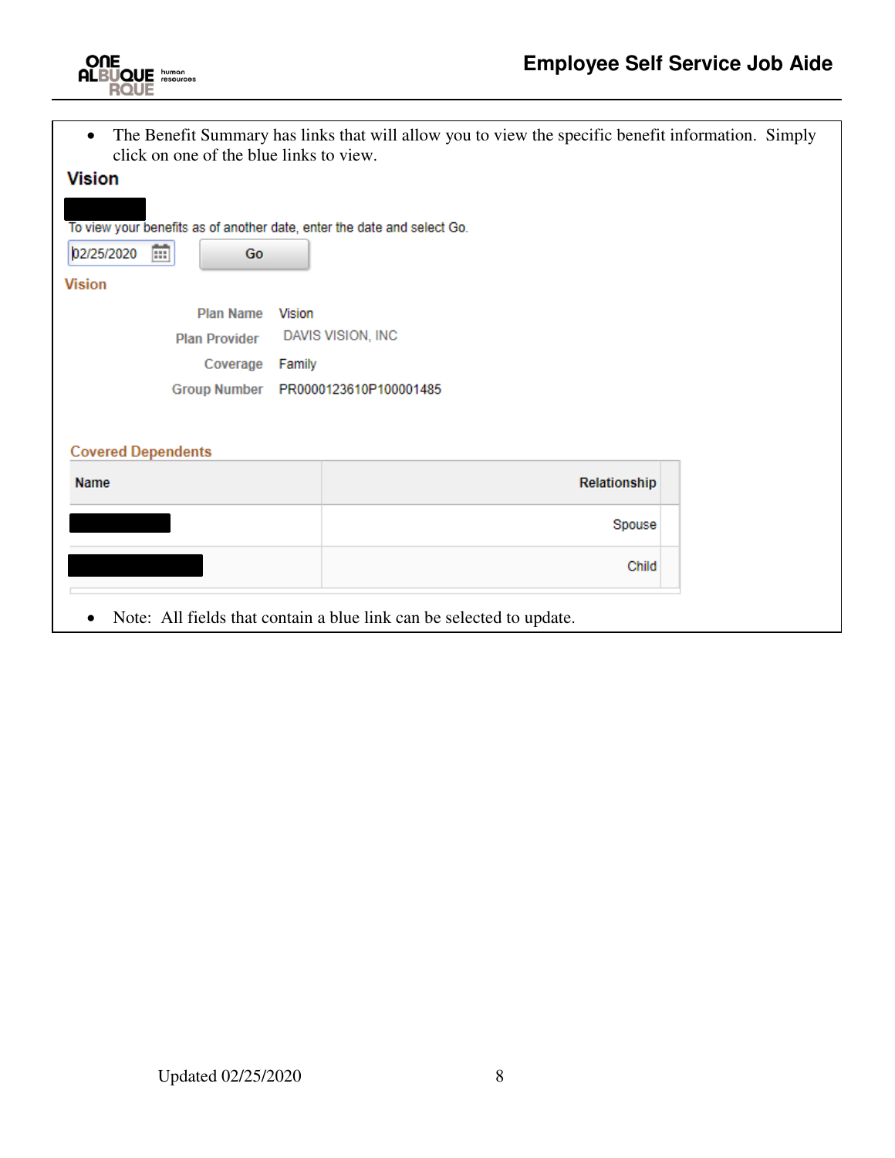

 The Benefit Summary has links that will allow you to view the specific benefit information. Simply click on one of the blue links to view.

| <b>Vision</b>                                                           |                                     |
|-------------------------------------------------------------------------|-------------------------------------|
| To view your benefits as of another date, enter the date and select Go. |                                     |
| 雷<br>02/25/2020<br>Go                                                   |                                     |
| <b>Vision</b>                                                           |                                     |
| <b>Plan Name</b>                                                        | <b>Vision</b>                       |
| <b>Plan Provider</b>                                                    | DAVIS VISION, INC                   |
| Coverage                                                                | Family                              |
|                                                                         | Group Number PR0000123610P100001485 |
| <b>Covered Dependents</b>                                               |                                     |
| Name                                                                    | Relationship                        |
|                                                                         | Spouse                              |
|                                                                         | Child                               |
|                                                                         |                                     |